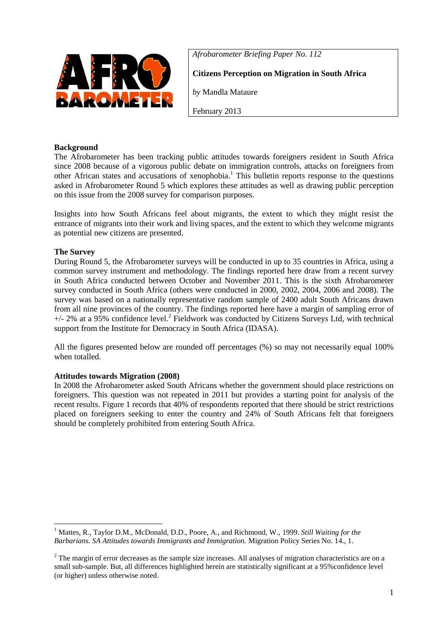

*Afrobarometer Briefing Paper No. 112*

**Citizens Perception on Migration in South Africa**

*by* Mandla Mataure

February 2013

# **Background**

The Afrobarometer has been tracking public attitudes towards foreigners resident in South Africa since 2008 because of a vigorous public debate on immigration controls, attacks on foreigners from other African states and accusations of xenophobia. <sup>1</sup> This bulletin reports response to the questions asked in Afrobarometer Round 5 which explores these attitudes as well as drawing public perception on this issue from the 2008 survey for comparison purposes.

Insights into how South Africans feel about migrants, the extent to which they might resist the entrance of migrants into their work and living spaces, and the extent to which they welcome migrants as potential new citizens are presented.

# **The Survey**

During Round 5, the Afrobarometer surveys will be conducted in up to 35 countries in Africa, using a common survey instrument and methodology. The findings reported here draw from a recent survey in South Africa conducted between October and November 2011. This is the sixth Afrobarometer survey conducted in South Africa (others were conducted in 2000, 2002, 2004, 2006 and 2008). The survey was based on a nationally representative random sample of 2400 adult South Africans drawn from all nine provinces of the country. The findings reported here have a margin of sampling error of  $+/- 2\%$  at a 95% confidence level.<sup>2</sup> Fieldwork was conducted by Citizens Surveys Ltd, with technical support from the Institute for Democracy in South Africa (IDASA).

All the figures presented below are rounded off percentages (%) so may not necessarily equal 100% when totalled.

## **Attitudes towards Migration (2008)**

In 2008 the Afrobarometer asked South Africans whether the government should place restrictions on foreigners. This question was not repeated in 2011 but provides a starting point for analysis of the recent results. Figure 1 records that 40% of respondents reported that there should be strict restrictions placed on foreigners seeking to enter the country and 24% of South Africans felt that foreigners should be completely prohibited from entering South Africa.

<sup>1</sup> <sup>1</sup> Mattes, R., Taylor D.M., McDonald, D.D., Poore, A., and Richmond, W., 1999. *Still Waiting for the Barbarians. SA Attitudes towards Immigrants and Immigration.* Migration Policy Series No. 14., 1.

 $2$  The margin of error decreases as the sample size increases. All analyses of migration characteristics are on a small sub-sample. But, all differences highlighted herein are statistically significant at a 95%confidence level (or higher) unless otherwise noted.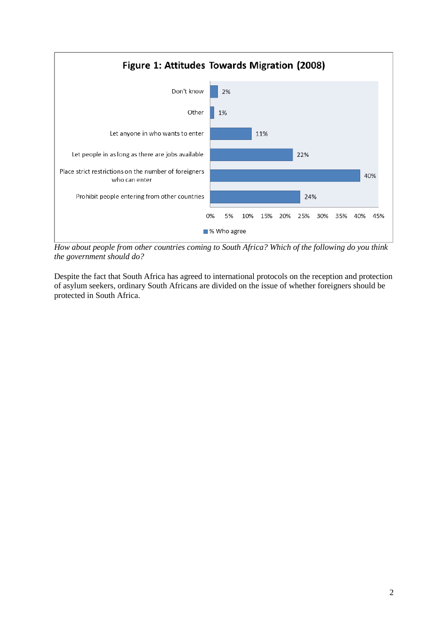

*How about people from other countries coming to South Africa? Which of the following do you think the government should do?*

Despite the fact that South Africa has agreed to international protocols on the reception and protection of asylum seekers, ordinary South Africans are divided on the issue of whether foreigners should be protected in South Africa.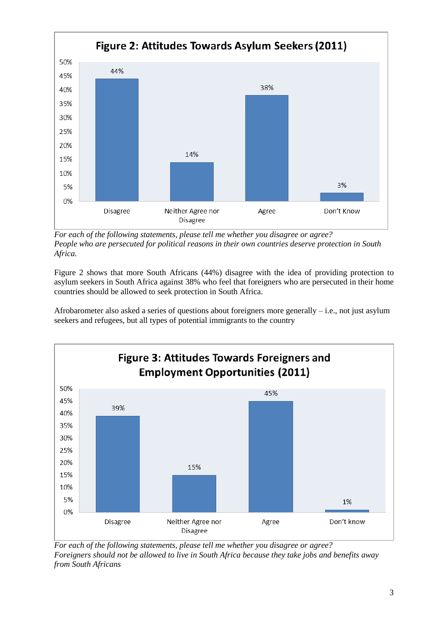

*For each of the following statements, please tell me whether you disagree or agree? People who are persecuted for political reasons in their own countries deserve protection in South Africa.*

Figure 2 shows that more South Africans (44%) disagree with the idea of providing protection to asylum seekers in South Africa against 38% who feel that foreigners who are persecuted in their home countries should be allowed to seek protection in South Africa.

Afrobarometer also asked a series of questions about foreigners more generally – i.e., not just asylum seekers and refugees, but all types of potential immigrants to the country



*For each of the following statements, please tell me whether you disagree or agree? Foreigners should not be allowed to live in South Africa because they take jobs and benefits away from South Africans*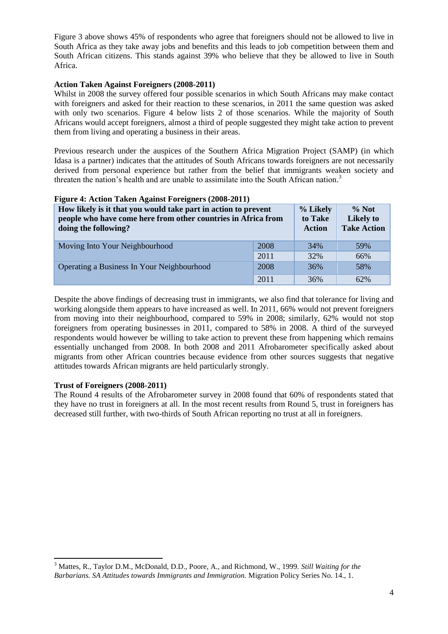Figure 3 above shows 45% of respondents who agree that foreigners should not be allowed to live in South Africa as they take away jobs and benefits and this leads to job competition between them and South African citizens. This stands against 39% who believe that they be allowed to live in South Africa.

## **Action Taken Against Foreigners (2008-2011)**

Whilst in 2008 the survey offered four possible scenarios in which South Africans may make contact with foreigners and asked for their reaction to these scenarios, in 2011 the same question was asked with only two scenarios. Figure 4 below lists 2 of those scenarios. While the majority of South Africans would accept foreigners, almost a third of people suggested they might take action to prevent them from living and operating a business in their areas.

Previous research under the auspices of the Southern Africa Migration Project (SAMP) (in which Idasa is a partner) indicates that the attitudes of South Africans towards foreigners are not necessarily derived from personal experience but rather from the belief that immigrants weaken society and threaten the nation's health and are unable to assimilate into the South African nation. 3

| How likely is it that you would take part in action to prevent<br>people who have come here from other countries in Africa from<br>doing the following? |      | % Likely<br>to Take<br><b>Action</b> | $\%$ Not<br><b>Likely to</b><br><b>Take Action</b> |
|---------------------------------------------------------------------------------------------------------------------------------------------------------|------|--------------------------------------|----------------------------------------------------|
| Moving Into Your Neighbourhood                                                                                                                          | 2008 | 34%                                  | 59%                                                |
|                                                                                                                                                         | 2011 | 32%                                  | 66%                                                |
| Operating a Business In Your Neighbourhood                                                                                                              | 2008 | 36%                                  | 58%                                                |
|                                                                                                                                                         | 2011 | 36%                                  | 62%                                                |

#### **Figure 4: Action Taken Against Foreigners (2008-2011)**

Despite the above findings of decreasing trust in immigrants, we also find that tolerance for living and working alongside them appears to have increased as well. In 2011, 66% would not prevent foreigners from moving into their neighbourhood, compared to 59% in 2008; similarly, 62% would not stop foreigners from operating businesses in 2011, compared to 58% in 2008. A third of the surveyed respondents would however be willing to take action to prevent these from happening which remains essentially unchanged from 2008. In both 2008 and 2011 Afrobarometer specifically asked about migrants from other African countries because evidence from other sources suggests that negative attitudes towards African migrants are held particularly strongly.

#### **Trust of Foreigners (2008-2011)**

The Round 4 results of the Afrobarometer survey in 2008 found that 60% of respondents stated that they have no trust in foreigners at all. In the most recent results from Round 5, trust in foreigners has decreased still further, with two-thirds of South African reporting no trust at all in foreigners.

**<sup>.</sup>** <sup>3</sup> Mattes, R., Taylor D.M., McDonald, D.D., Poore, A., and Richmond, W., 1999. *Still Waiting for the Barbarians. SA Attitudes towards Immigrants and Immigration.* Migration Policy Series No. 14., 1.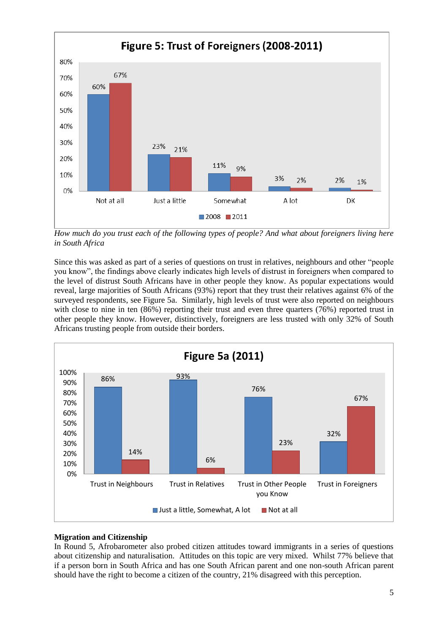

*How much do you trust each of the following types of people? And what about foreigners living here in South Africa*

Since this was asked as part of a series of questions on trust in relatives, neighbours and other "people you know", the findings above clearly indicates high levels of distrust in foreigners when compared to the level of distrust South Africans have in other people they know. As popular expectations would reveal, large majorities of South Africans (93%) report that they trust their relatives against 6% of the surveyed respondents, see Figure 5a. Similarly, high levels of trust were also reported on neighbours with close to nine in ten  $(86%)$  reporting their trust and even three quarters  $(76%)$  reported trust in other people they know. However, distinctively, foreigners are less trusted with only 32% of South Africans trusting people from outside their borders.



## **Migration and Citizenship**

In Round 5, Afrobarometer also probed citizen attitudes toward immigrants in a series of questions about citizenship and naturalisation. Attitudes on this topic are very mixed. Whilst 77% believe that if a person born in South Africa and has one South African parent and one non-south African parent should have the right to become a citizen of the country, 21% disagreed with this perception.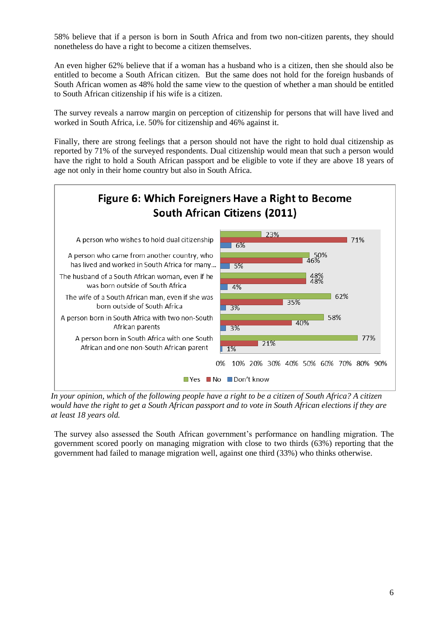58% believe that if a person is born in South Africa and from two non-citizen parents, they should nonetheless do have a right to become a citizen themselves.

An even higher 62% believe that if a woman has a husband who is a citizen, then she should also be entitled to become a South African citizen. But the same does not hold for the foreign husbands of South African women as 48% hold the same view to the question of whether a man should be entitled to South African citizenship if his wife is a citizen.

The survey reveals a narrow margin on perception of citizenship for persons that will have lived and worked in South Africa, i.e. 50% for citizenship and 46% against it.

Finally, there are strong feelings that a person should not have the right to hold dual citizenship as reported by 71% of the surveyed respondents. Dual citizenship would mean that such a person would have the right to hold a South African passport and be eligible to vote if they are above 18 years of age not only in their home country but also in South Africa.



*In your opinion, which of the following people have a right to be a citizen of South Africa? A citizen would have the right to get a South African passport and to vote in South African elections if they are at least 18 years old.*

The survey also assessed the South African government's performance on handling migration. The government scored poorly on managing migration with close to two thirds (63%) reporting that the government had failed to manage migration well, against one third (33%) who thinks otherwise.